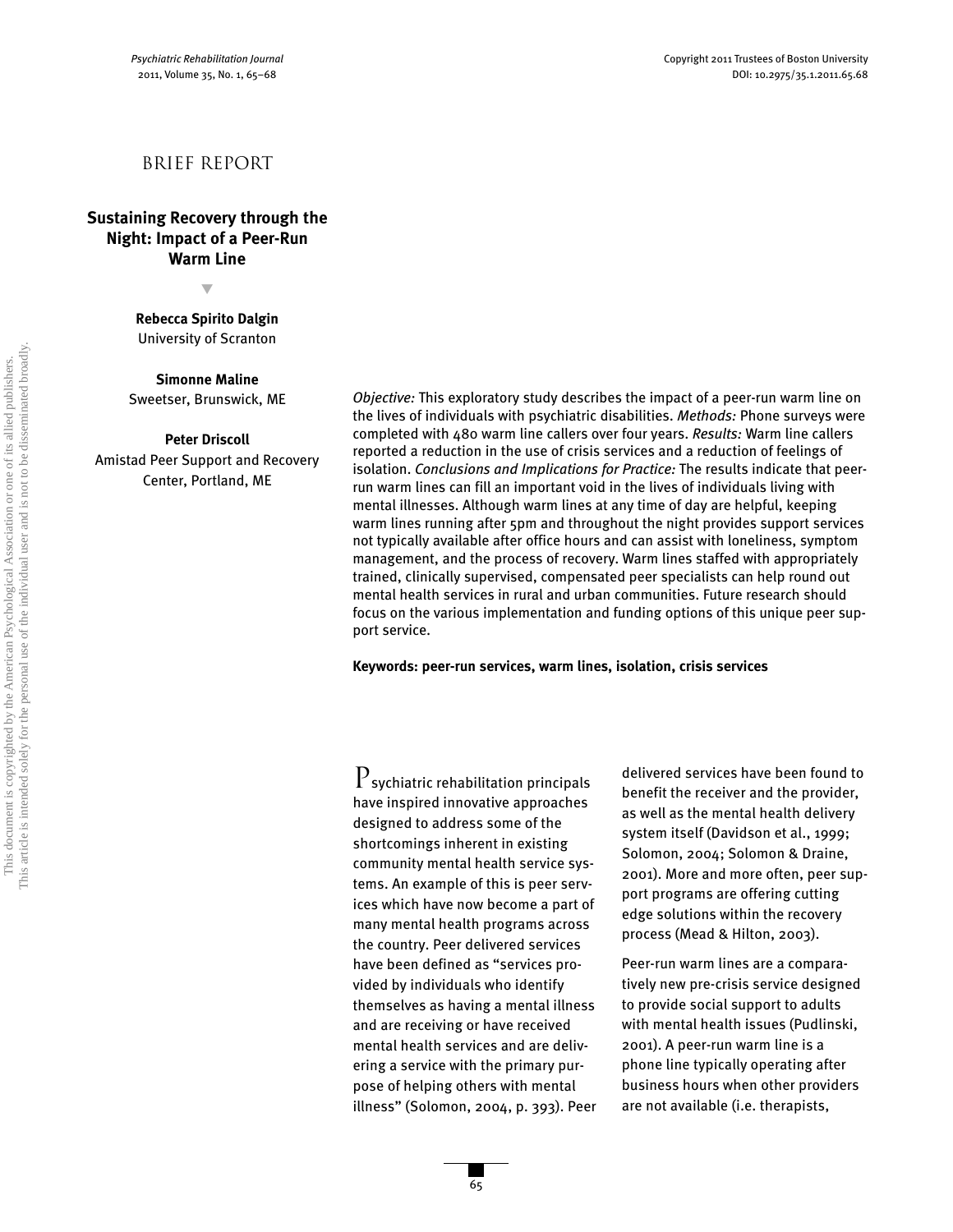# Brief report

**Sustaining Recovery through the Night: Impact of a Peer-Run Warm Line**

t

**Rebecca Spirito Dalgin** University of Scranton

**Simonne Maline**

Sweetser, Brunswick, ME

**Peter Driscoll**

Amistad Peer Support and Recovery Center, Portland, ME

*Objective:* This exploratory study describes the impact of a peer-run warm line on the lives of individuals with psychiatric disabilities. *Methods:* Phone surveys were completed with 480 warm line callers over four years. *Results:* Warm line callers reported a reduction in the use of crisis services and a reduction of feelings of isolation. *Conclusions and Implications for Practice:* The results indicate that peerrun warm lines can fill an important void in the lives of individuals living with mental illnesses. Although warm lines at any time of day are helpful, keeping warm lines running after 5pm and throughout the night provides support services not typically available after office hours and can assist with loneliness, symptom management, and the process of recovery. Warm lines staffed with appropriately trained, clinically supervised, compensated peer specialists can help round out mental health services in rural and urban communities. Future research should focus on the various implementation and funding options of this unique peer support service.

**Keywords: peer-run services, warm lines, isolation, crisis services**

 $\mathrm P$ sychiatric rehabilitation principals have inspired innovative approaches designed to address some of the shortcomings inherent in existing community mental health service systems. An example of this is peer services which have now become a part of many mental health programs across the country. Peer delivered services have been defined as "services provided by individuals who identify themselves as having a mental illness and are receiving or have received mental health services and are delivering a service with the primary purpose of helping others with mental illness" (Solomon, 2004, p. 393). Peer

delivered services have been found to benefit the receiver and the provider, as well as the mental health delivery system itself (Davidson et al., 1999; Solomon, 2004; Solomon & Draine, 2001). More and more often, peer support programs are offering cutting edge solutions within the recovery process (Mead & Hilton, 2003).

Peer-run warm lines are a comparatively new pre-crisis service designed to provide social support to adults with mental health issues (Pudlinski, 2001). A peer-run warm line is a phone line typically operating after business hours when other providers are not available (i.e. therapists,

65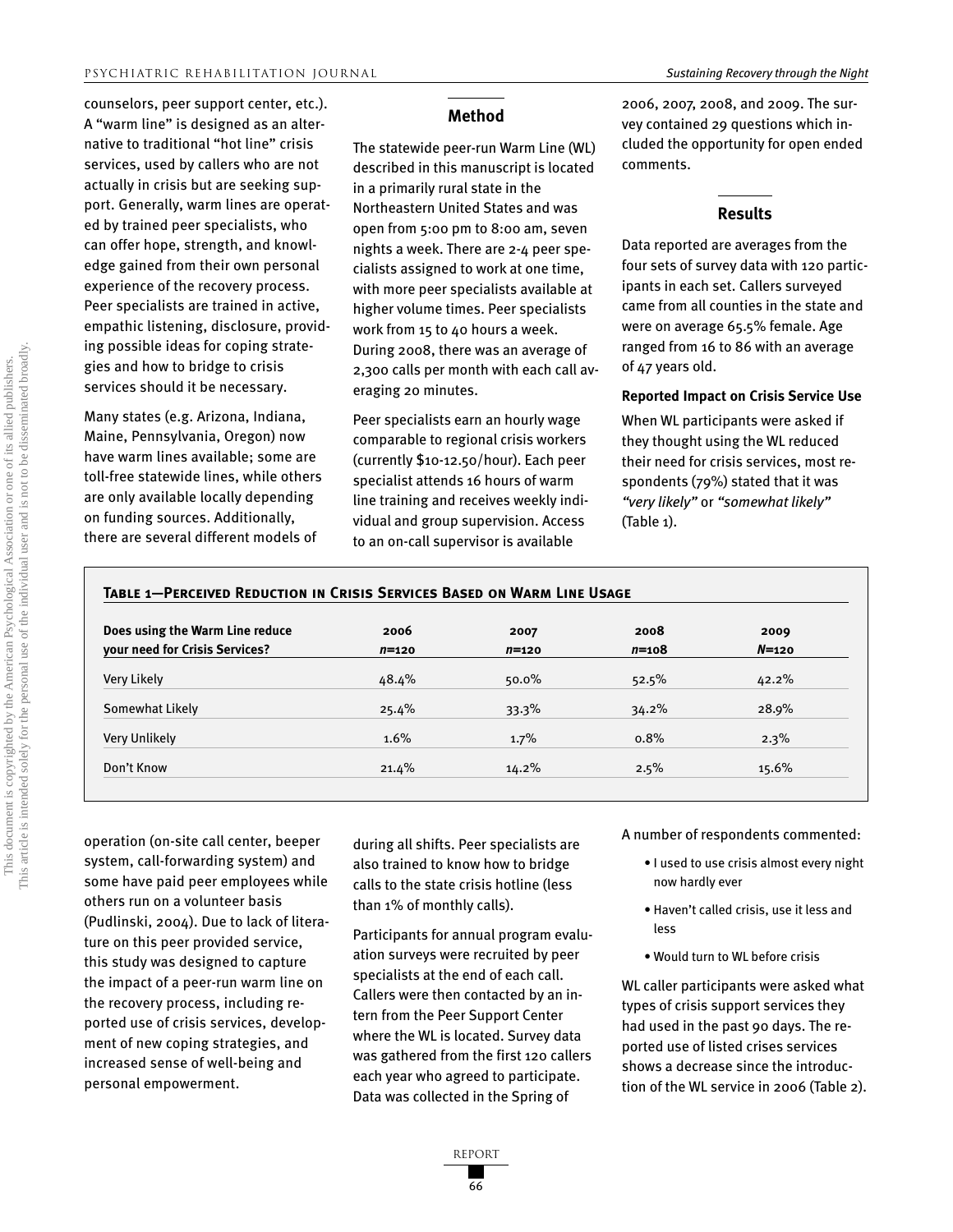counselors, peer support center, etc.). A "warm line" is designed as an alternative to traditional "hot line" crisis services, used by callers who are not actually in crisis but are seeking support. Generally, warm lines are operated by trained peer specialists, who can offer hope, strength, and knowledge gained from their own personal experience of the recovery process. Peer specialists are trained in active, empathic listening, disclosure, providing possible ideas for coping strategies and how to bridge to crisis services should it be necessary.

Many states (e.g. Arizona, Indiana, Maine, Pennsylvania, Oregon) now have warm lines available; some are toll-free statewide lines, while others are only available locally depending on funding sources. Additionally, there are several different models of

# **Method**

The statewide peer-run Warm Line (WL) described in this manuscript is located in a primarily rural state in the Northeastern United States and was open from 5:00 pm to 8:00 am, seven nights a week. There are 2-4 peer specialists assigned to work at one time, with more peer specialists available at higher volume times. Peer specialists work from 15 to 40 hours a week. During 2008, there was an average of 2,300 calls per month with each call averaging 20 minutes.

Peer specialists earn an hourly wage comparable to regional crisis workers (currently \$10-12.50/hour). Each peer specialist attends 16 hours of warm line training and receives weekly individual and group supervision. Access to an on-call supervisor is available

2006, 2007, 2008, and 2009. The survey contained 29 questions which included the opportunity for open ended comments.

# **Results**

Data reported are averages from the four sets of survey data with 120 participants in each set. Callers surveyed came from all counties in the state and were on average 65.5% female. Age ranged from 16 to 86 with an average of 47 years old.

## **Reported Impact on Crisis Service Use**

When WL participants were asked if they thought using the WL reduced their need for crisis services, most respondents (79%) stated that it was *"very likely"* or *"somewhat likely"* (Table 1).

| Does using the Warm Line reduce<br><b>vour need for Crisis Services?</b> | 2006<br>$n = 120$ | 2007<br>$n = 120$ | 2008<br>$n = 108$ | 2009<br>$N=120$ |
|--------------------------------------------------------------------------|-------------------|-------------------|-------------------|-----------------|
|                                                                          |                   |                   |                   |                 |
| Somewhat Likely                                                          | 25.4%             | $33.3\%$          | 34.2%             | 28.9%           |
| Very Unlikely                                                            | 1.6%              | 1.7%              | 0.8%              | 2.3%            |
| Don't Know                                                               | 21.4%             | $14.2\%$          | 2.5%              | 15.6%           |

operation (on-site call center, beeper system, call-forwarding system) and some have paid peer employees while others run on a volunteer basis (Pudlinski, 2004). Due to lack of literature on this peer provided service, this study was designed to capture the impact of a peer-run warm line on the recovery process, including reported use of crisis services, development of new coping strategies, and increased sense of well-being and personal empowerment.

during all shifts. Peer specialists are also trained to know how to bridge calls to the state crisis hotline (less than 1% of monthly calls).

Participants for annual program evaluation surveys were recruited by peer specialists at the end of each call. Callers were then contacted by an intern from the Peer Support Center where the WL is located. Survey data was gathered from the first 120 callers each year who agreed to participate. Data was collected in the Spring of

A number of respondents commented:

- I used to use crisis almost every night now hardly ever
- Haven't called crisis, use it less and less
- Would turn to WL before crisis

WL caller participants were asked what types of crisis support services they had used in the past 90 days. The reported use of listed crises services shows a decrease since the introduction of the WL service in 2006 (Table 2).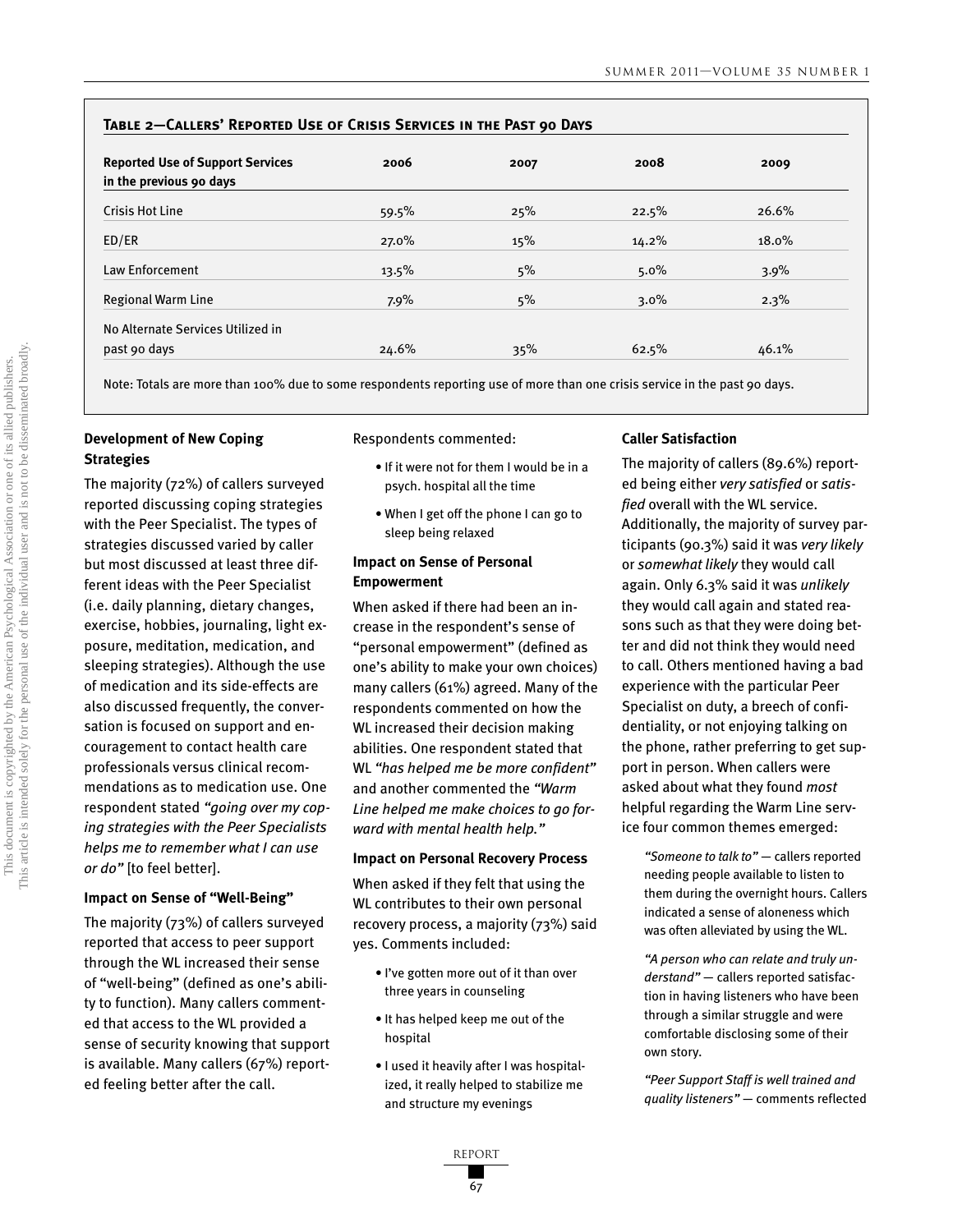| TABLE 2-CALLERS' REPORTED USE OF CRISIS SERVICES IN THE PAST 90 DAYS |         |      |         |          |  |  |  |
|----------------------------------------------------------------------|---------|------|---------|----------|--|--|--|
| <b>Reported Use of Support Services</b><br>in the previous 90 days   | 2006    | 2007 | 2008    | 2009     |  |  |  |
| <b>Crisis Hot Line</b>                                               | 59.5%   | 25%  | 22.5%   | 26.6%    |  |  |  |
| ED/ER                                                                | 27.0%   | 15%  | 14.2%   | $18.0\%$ |  |  |  |
| Law Enforcement                                                      | 13.5%   | 5%   | $5.0\%$ | 3.9%     |  |  |  |
| <b>Regional Warm Line</b>                                            | $7.9\%$ | 5%   | $3.0\%$ | 2.3%     |  |  |  |
| No Alternate Services Utilized in                                    |         |      |         |          |  |  |  |
| past 90 days                                                         | 24.6%   | 35%  | 62.5%   | 46.1%    |  |  |  |

Note: Totals are more than 100% due to some respondents reporting use of more than one crisis service in the past 90 days.

# **Development of New Coping Strategies**

The majority (72%) of callers surveyed reported discussing coping strategies with the Peer Specialist. The types of strategies discussed varied by caller but most discussed at least three different ideas with the Peer Specialist (i.e. daily planning, dietary changes, exercise, hobbies, journaling, light exposure, meditation, medication, and sleeping strategies). Although the use of medication and its side-effects are also discussed frequently, the conversation is focused on support and encouragement to contact health care professionals versus clinical recommendations as to medication use. One respondent stated *"going over my coping strategies with the Peer Specialists helps me to remember what I can use or do"* [to feel better].

### **Impact on Sense of "Well-Being"**

The majority (73%) of callers surveyed reported that access to peer support through the WL increased their sense of "well-being" (defined as one's ability to function). Many callers commented that access to the WL provided a sense of security knowing that support is available. Many callers (67%) reported feeling better after the call.

Respondents commented:

- If it were not for them I would be in a psych. hospital all the time
- When I get off the phone I can go to sleep being relaxed

### **Impact on Sense of Personal Empowerment**

When asked if there had been an increase in the respondent's sense of "personal empowerment" (defined as one's ability to make your own choices) many callers (61%) agreed. Many of the respondents commented on how the WL increased their decision making abilities. One respondent stated that WL *"has helped me be more confident"* and another commented the *"Warm Line helped me make choices to go forward with mental health help."*

### **Impact on Personal Recovery Process**

When asked if they felt that using the WL contributes to their own personal recovery process, a majority (73%) said yes. Comments included:

- I've gotten more out of it than over three years in counseling
- It has helped keep me out of the hospital
- I used it heavily after I was hospitalized, it really helped to stabilize me and structure my evenings

### **Caller Satisfaction**

The majority of callers (89.6%) reported being either *very satisfied* or *satisfied* overall with the WL service. Additionally, the majority of survey participants (90.3%) said it was *very likely* or *somewhat likely* they would call again. Only 6.3% said it was *unlikely* they would call again and stated reasons such as that they were doing better and did not think they would need to call. Others mentioned having a bad experience with the particular Peer Specialist on duty, a breech of confidentiality, or not enjoying talking on the phone, rather preferring to get support in person. When callers were asked about what they found *most* helpful regarding the Warm Line service four common themes emerged:

*"Someone to talk to"* — callers reported needing people available to listen to them during the overnight hours. Callers indicated a sense of aloneness which was often alleviated by using the WL.

*"A person who can relate and truly understand"* — callers reported satisfaction in having listeners who have been through a similar struggle and were comfortable disclosing some of their own story.

*"Peer Support Staff is well trained and quality listeners"* — comments reflected